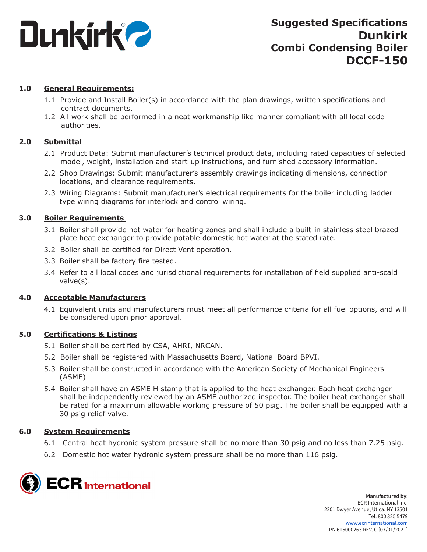

## **1.0 General Requirements:**

- 1.1 Provide and Install Boiler(s) in accordance with the plan drawings, written specifications and contract documents.
- 1.2 All work shall be performed in a neat workmanship like manner compliant with all local code authorities.

## **2.0 Submittal**

- 2.1 Product Data: Submit manufacturer's technical product data, including rated capacities of selected model, weight, installation and start-up instructions, and furnished accessory information.
- 2.2 Shop Drawings: Submit manufacturer's assembly drawings indicating dimensions, connection locations, and clearance requirements.
- 2.3 Wiring Diagrams: Submit manufacturer's electrical requirements for the boiler including ladder type wiring diagrams for interlock and control wiring.

## **3.0 Boiler Requirements**

- 3.1 Boiler shall provide hot water for heating zones and shall include a built-in stainless steel brazed plate heat exchanger to provide potable domestic hot water at the stated rate.
- 3.2 Boiler shall be certified for Direct Vent operation.
- 3.3 Boiler shall be factory fire tested.
- 3.4 Refer to all local codes and jurisdictional requirements for installation of field supplied anti-scald valve(s).

## **4.0 Acceptable Manufacturers**

4.1 Equivalent units and manufacturers must meet all performance criteria for all fuel options, and will be considered upon prior approval.

## **5.0 Certifications & Listings**

- 5.1 Boiler shall be certified by CSA, AHRI, NRCAN.
- 5.2 Boiler shall be registered with Massachusetts Board, National Board BPVI.
- 5.3 Boiler shall be constructed in accordance with the American Society of Mechanical Engineers (ASME)
- 5.4 Boiler shall have an ASME H stamp that is applied to the heat exchanger. Each heat exchanger shall be independently reviewed by an ASME authorized inspector. The boiler heat exchanger shall be rated for a maximum allowable working pressure of 50 psig. The boiler shall be equipped with a 30 psig relief valve.

## **6.0 System Requirements**

- 6.1 Central heat hydronic system pressure shall be no more than 30 psig and no less than 7.25 psig.
- 6.2 Domestic hot water hydronic system pressure shall be no more than 116 psig.

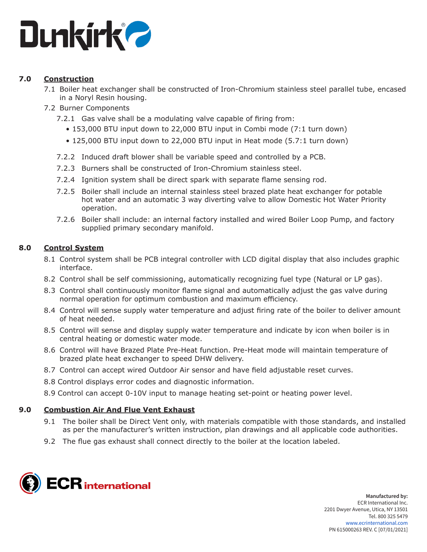

# **7.0 Construction**

- 7.1 Boiler heat exchanger shall be constructed of Iron-Chromium stainless steel parallel tube, encased in a Noryl Resin housing.
- 7.2 Burner Components
	- 7.2.1 Gas valve shall be a modulating valve capable of firing from:
		- 153,000 BTU input down to 22,000 BTU input in Combi mode (7:1 turn down)
		- 125,000 BTU input down to 22,000 BTU input in Heat mode (5.7:1 turn down)
	- 7.2.2 Induced draft blower shall be variable speed and controlled by a PCB.
	- 7.2.3 Burners shall be constructed of Iron-Chromium stainless steel.
	- 7.2.4 Ignition system shall be direct spark with separate flame sensing rod.
	- 7.2.5 Boiler shall include an internal stainless steel brazed plate heat exchanger for potable hot water and an automatic 3 way diverting valve to allow Domestic Hot Water Priority operation.
	- 7.2.6 Boiler shall include: an internal factory installed and wired Boiler Loop Pump, and factory supplied primary secondary manifold.

# **8.0 Control System**

- 8.1 Control system shall be PCB integral controller with LCD digital display that also includes graphic interface.
- 8.2 Control shall be self commissioning, automatically recognizing fuel type (Natural or LP gas).
- 8.3 Control shall continuously monitor flame signal and automatically adjust the gas valve during normal operation for optimum combustion and maximum efficiency.
- 8.4 Control will sense supply water temperature and adjust firing rate of the boiler to deliver amount of heat needed.
- 8.5 Control will sense and display supply water temperature and indicate by icon when boiler is in central heating or domestic water mode.
- 8.6 Control will have Brazed Plate Pre-Heat function. Pre-Heat mode will maintain temperature of brazed plate heat exchanger to speed DHW delivery.
- 8.7 Control can accept wired Outdoor Air sensor and have field adjustable reset curves.
- 8.8 Control displays error codes and diagnostic information.
- 8.9 Control can accept 0-10V input to manage heating set-point or heating power level.

## **9.0 Combustion Air And Flue Vent Exhaust**

- 9.1 The boiler shall be Direct Vent only, with materials compatible with those standards, and installed as per the manufacturer's written instruction, plan drawings and all applicable code authorities.
- 9.2 The flue gas exhaust shall connect directly to the boiler at the location labeled.